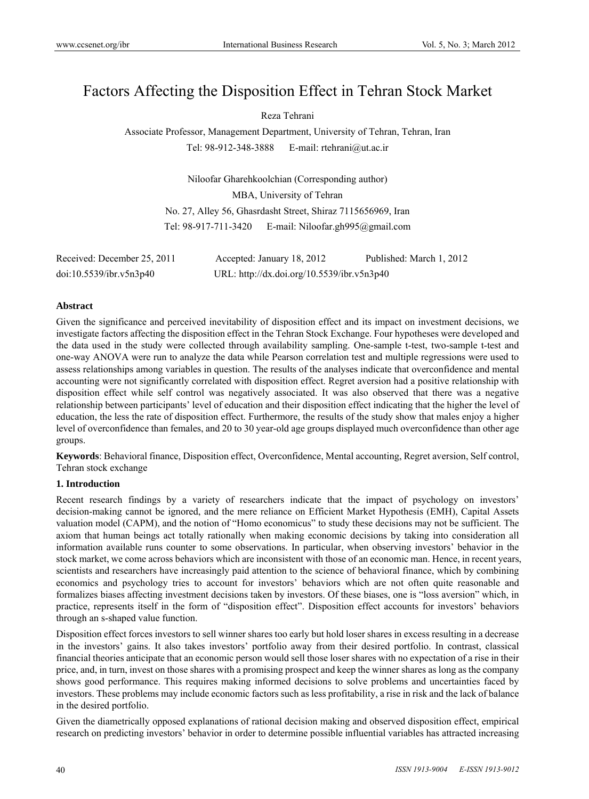# Factors Affecting the Disposition Effect in Tehran Stock Market

Reza Tehrani

Associate Professor, Management Department, University of Tehran, Tehran, Iran Tel: 98-912-348-3888 E-mail: rtehrani@ut.ac.ir

Niloofar Gharehkoolchian (Corresponding author)

MBA, University of Tehran No. 27, Alley 56, Ghasrdasht Street, Shiraz 7115656969, Iran Tel: 98-917-711-3420 E-mail: Niloofar.gh995@gmail.com

| Received: December 25, 2011 | Accepted: January 18, 2012                 | Published: March 1, 2012 |
|-----------------------------|--------------------------------------------|--------------------------|
| doi:10.5539/ibr.v5n3p40     | URL: http://dx.doi.org/10.5539/ibr.v5n3p40 |                          |

## **Abstract**

Given the significance and perceived inevitability of disposition effect and its impact on investment decisions, we investigate factors affecting the disposition effect in the Tehran Stock Exchange. Four hypotheses were developed and the data used in the study were collected through availability sampling. One-sample t-test, two-sample t-test and one-way ANOVA were run to analyze the data while Pearson correlation test and multiple regressions were used to assess relationships among variables in question. The results of the analyses indicate that overconfidence and mental accounting were not significantly correlated with disposition effect. Regret aversion had a positive relationship with disposition effect while self control was negatively associated. It was also observed that there was a negative relationship between participants' level of education and their disposition effect indicating that the higher the level of education, the less the rate of disposition effect. Furthermore, the results of the study show that males enjoy a higher level of overconfidence than females, and 20 to 30 year-old age groups displayed much overconfidence than other age groups.

**Keywords**: Behavioral finance, Disposition effect, Overconfidence, Mental accounting, Regret aversion, Self control, Tehran stock exchange

## **1. Introduction**

Recent research findings by a variety of researchers indicate that the impact of psychology on investors' decision-making cannot be ignored, and the mere reliance on Efficient Market Hypothesis (EMH), Capital Assets valuation model (CAPM), and the notion of "Homo economicus" to study these decisions may not be sufficient. The axiom that human beings act totally rationally when making economic decisions by taking into consideration all information available runs counter to some observations. In particular, when observing investors' behavior in the stock market, we come across behaviors which are inconsistent with those of an economic man. Hence, in recent years, scientists and researchers have increasingly paid attention to the science of behavioral finance, which by combining economics and psychology tries to account for investors' behaviors which are not often quite reasonable and formalizes biases affecting investment decisions taken by investors. Of these biases, one is "loss aversion" which, in practice, represents itself in the form of "disposition effect". Disposition effect accounts for investors' behaviors through an s-shaped value function.

Disposition effect forces investors to sell winner shares too early but hold loser shares in excess resulting in a decrease in the investors' gains. It also takes investors' portfolio away from their desired portfolio. In contrast, classical financial theories anticipate that an economic person would sell those loser shares with no expectation of a rise in their price, and, in turn, invest on those shares with a promising prospect and keep the winner shares as long as the company shows good performance. This requires making informed decisions to solve problems and uncertainties faced by investors. These problems may include economic factors such as less profitability, a rise in risk and the lack of balance in the desired portfolio.

Given the diametrically opposed explanations of rational decision making and observed disposition effect, empirical research on predicting investors' behavior in order to determine possible influential variables has attracted increasing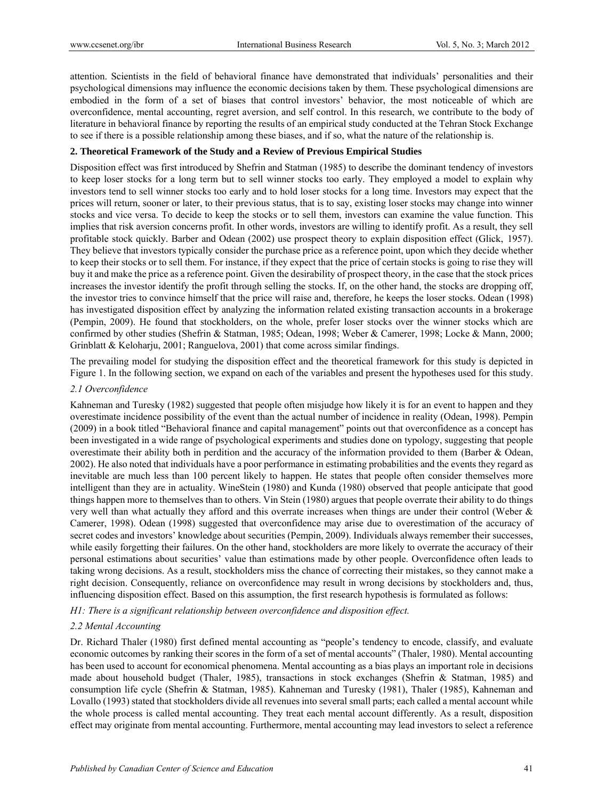attention. Scientists in the field of behavioral finance have demonstrated that individuals' personalities and their psychological dimensions may influence the economic decisions taken by them. These psychological dimensions are embodied in the form of a set of biases that control investors' behavior, the most noticeable of which are overconfidence, mental accounting, regret aversion, and self control. In this research, we contribute to the body of literature in behavioral finance by reporting the results of an empirical study conducted at the Tehran Stock Exchange to see if there is a possible relationship among these biases, and if so, what the nature of the relationship is.

## **2. Theoretical Framework of the Study and a Review of Previous Empirical Studies**

Disposition effect was first introduced by Shefrin and Statman (1985) to describe the dominant tendency of investors to keep loser stocks for a long term but to sell winner stocks too early. They employed a model to explain why investors tend to sell winner stocks too early and to hold loser stocks for a long time. Investors may expect that the prices will return, sooner or later, to their previous status, that is to say, existing loser stocks may change into winner stocks and vice versa. To decide to keep the stocks or to sell them, investors can examine the value function. This implies that risk aversion concerns profit. In other words, investors are willing to identify profit. As a result, they sell profitable stock quickly. Barber and Odean (2002) use prospect theory to explain disposition effect (Glick, 1957). They believe that investors typically consider the purchase price as a reference point, upon which they decide whether to keep their stocks or to sell them. For instance, if they expect that the price of certain stocks is going to rise they will buy it and make the price as a reference point. Given the desirability of prospect theory, in the case that the stock prices increases the investor identify the profit through selling the stocks. If, on the other hand, the stocks are dropping off, the investor tries to convince himself that the price will raise and, therefore, he keeps the loser stocks. Odean (1998) has investigated disposition effect by analyzing the information related existing transaction accounts in a brokerage (Pempin, 2009). He found that stockholders, on the whole, prefer loser stocks over the winner stocks which are confirmed by other studies (Shefrin & Statman, 1985; Odean, 1998; Weber & Camerer, 1998; Locke & Mann, 2000; Grinblatt & Keloharju, 2001; Ranguelova, 2001) that come across similar findings.

The prevailing model for studying the disposition effect and the theoretical framework for this study is depicted in Figure 1. In the following section, we expand on each of the variables and present the hypotheses used for this study.

## *2.1 Overconfidence*

Kahneman and Turesky (1982) suggested that people often misjudge how likely it is for an event to happen and they overestimate incidence possibility of the event than the actual number of incidence in reality (Odean, 1998). Pempin (2009) in a book titled "Behavioral finance and capital management" points out that overconfidence as a concept has been investigated in a wide range of psychological experiments and studies done on typology, suggesting that people overestimate their ability both in perdition and the accuracy of the information provided to them (Barber & Odean, 2002). He also noted that individuals have a poor performance in estimating probabilities and the events they regard as inevitable are much less than 100 percent likely to happen. He states that people often consider themselves more intelligent than they are in actuality. WineStein (1980) and Kunda (1980) observed that people anticipate that good things happen more to themselves than to others. Vin Stein (1980) argues that people overrate their ability to do things very well than what actually they afford and this overrate increases when things are under their control (Weber & Camerer, 1998). Odean (1998) suggested that overconfidence may arise due to overestimation of the accuracy of secret codes and investors' knowledge about securities (Pempin, 2009). Individuals always remember their successes, while easily forgetting their failures. On the other hand, stockholders are more likely to overrate the accuracy of their personal estimations about securities' value than estimations made by other people. Overconfidence often leads to taking wrong decisions. As a result, stockholders miss the chance of correcting their mistakes, so they cannot make a right decision. Consequently, reliance on overconfidence may result in wrong decisions by stockholders and, thus, influencing disposition effect. Based on this assumption, the first research hypothesis is formulated as follows:

*H1: There is a significant relationship between overconfidence and disposition effect.*

## *2.2 Mental Accounting*

Dr. Richard Thaler (1980) first defined mental accounting as "people's tendency to encode, classify, and evaluate economic outcomes by ranking their scores in the form of a set of mental accounts" (Thaler, 1980). Mental accounting has been used to account for economical phenomena. Mental accounting as a bias plays an important role in decisions made about household budget (Thaler, 1985), transactions in stock exchanges (Shefrin & Statman, 1985) and consumption life cycle (Shefrin & Statman, 1985). Kahneman and Turesky (1981), Thaler (1985), Kahneman and Lovallo (1993) stated that stockholders divide all revenues into several small parts; each called a mental account while the whole process is called mental accounting. They treat each mental account differently. As a result, disposition effect may originate from mental accounting. Furthermore, mental accounting may lead investors to select a reference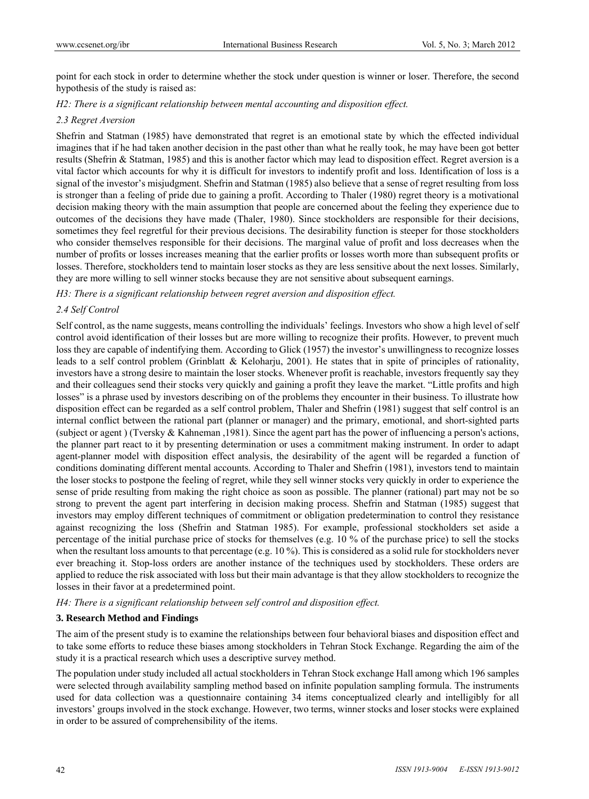point for each stock in order to determine whether the stock under question is winner or loser. Therefore, the second hypothesis of the study is raised as:

*H2: There is a significant relationship between mental accounting and disposition effect.*

#### *2.3 Regret Aversion*

Shefrin and Statman (1985) have demonstrated that regret is an emotional state by which the effected individual imagines that if he had taken another decision in the past other than what he really took, he may have been got better results (Shefrin & Statman, 1985) and this is another factor which may lead to disposition effect. Regret aversion is a vital factor which accounts for why it is difficult for investors to indentify profit and loss. Identification of loss is a signal of the investor's misjudgment. Shefrin and Statman (1985) also believe that a sense of regret resulting from loss is stronger than a feeling of pride due to gaining a profit. According to Thaler (1980) regret theory is a motivational decision making theory with the main assumption that people are concerned about the feeling they experience due to outcomes of the decisions they have made (Thaler, 1980). Since stockholders are responsible for their decisions, sometimes they feel regretful for their previous decisions. The desirability function is steeper for those stockholders who consider themselves responsible for their decisions. The marginal value of profit and loss decreases when the number of profits or losses increases meaning that the earlier profits or losses worth more than subsequent profits or losses. Therefore, stockholders tend to maintain loser stocks as they are less sensitive about the next losses. Similarly, they are more willing to sell winner stocks because they are not sensitive about subsequent earnings.

*H3: There is a significant relationship between regret aversion and disposition effect.* 

## *2.4 Self Control*

Self control, as the name suggests, means controlling the individuals' feelings. Investors who show a high level of self control avoid identification of their losses but are more willing to recognize their profits. However, to prevent much loss they are capable of indentifying them. According to Glick (1957) the investor's unwillingness to recognize losses leads to a self control problem (Grinblatt & Keloharju, 2001). He states that in spite of principles of rationality, investors have a strong desire to maintain the loser stocks. Whenever profit is reachable, investors frequently say they and their colleagues send their stocks very quickly and gaining a profit they leave the market. "Little profits and high losses" is a phrase used by investors describing on of the problems they encounter in their business. To illustrate how disposition effect can be regarded as a self control problem, Thaler and Shefrin (1981) suggest that self control is an internal conflict between the rational part (planner or manager) and the primary, emotional, and short-sighted parts (subject or agent ) (Tversky & Kahneman ,1981). Since the agent part has the power of influencing a person's actions, the planner part react to it by presenting determination or uses a commitment making instrument. In order to adapt agent-planner model with disposition effect analysis, the desirability of the agent will be regarded a function of conditions dominating different mental accounts. According to Thaler and Shefrin (1981), investors tend to maintain the loser stocks to postpone the feeling of regret, while they sell winner stocks very quickly in order to experience the sense of pride resulting from making the right choice as soon as possible. The planner (rational) part may not be so strong to prevent the agent part interfering in decision making process. Shefrin and Statman (1985) suggest that investors may employ different techniques of commitment or obligation predetermination to control they resistance against recognizing the loss (Shefrin and Statman 1985). For example, professional stockholders set aside a percentage of the initial purchase price of stocks for themselves (e.g. 10 % of the purchase price) to sell the stocks when the resultant loss amounts to that percentage (e.g. 10 %). This is considered as a solid rule for stockholders never ever breaching it. Stop-loss orders are another instance of the techniques used by stockholders. These orders are applied to reduce the risk associated with loss but their main advantage is that they allow stockholders to recognize the losses in their favor at a predetermined point.

*H4: There is a significant relationship between self control and disposition effect.*

## **3. Research Method and Findings**

The aim of the present study is to examine the relationships between four behavioral biases and disposition effect and to take some efforts to reduce these biases among stockholders in Tehran Stock Exchange. Regarding the aim of the study it is a practical research which uses a descriptive survey method.

The population under study included all actual stockholders in Tehran Stock exchange Hall among which 196 samples were selected through availability sampling method based on infinite population sampling formula. The instruments used for data collection was a questionnaire containing 34 items conceptualized clearly and intelligibly for all investors' groups involved in the stock exchange. However, two terms, winner stocks and loser stocks were explained in order to be assured of comprehensibility of the items.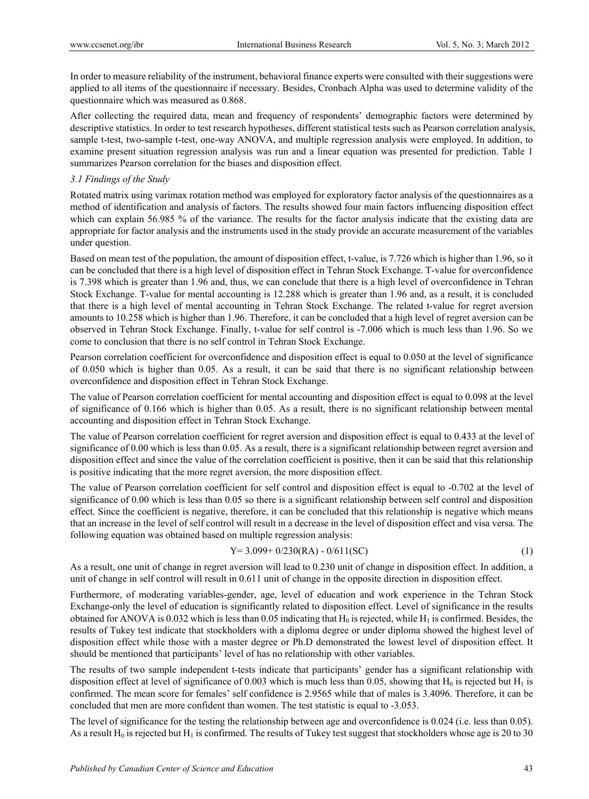In order to measure reliability of the instrument, behavioral finance experts were consulted with their suggestions were applied to all items of the questionnaire if necessary. Besides, Cronbach Alpha was used to determine validity of the questionnaire which was measured as 0.868.

After collecting the required data, mean and frequency of respondents' demographic factors were determined by descriptive statistics. In order to test research hypotheses, different statistical tests such as Pearson correlation analysis, sample t-test, two-sample t-test, one-way ANOVA, and multiple regression analysis were employed. In addition, to examine present situation regression analysis was run and a linear equation was presented for prediction. Table 1 summarizes Pearson correlation for the biases and disposition effect.

#### *3.1 Findings of the Study*

Rotated matrix using varimax rotation method was employed for exploratory factor analysis of the questionnaires as a method of identification and analysis of factors. The results showed four main factors influencing disposition effect which can explain 56.985 % of the variance. The results for the factor analysis indicate that the existing data are appropriate for factor analysis and the instruments used in the study provide an accurate measurement of the variables under question.

Based on mean test of the population, the amount of disposition effect, t-value, is 7.726 which is higher than 1.96, so it can be concluded that there is a high level of disposition effect in Tehran Stock Exchange. T-value for overconfidence is 7.398 which is greater than 1.96 and, thus, we can conclude that there is a high level of overconfidence in Tehran Stock Exchange. T-value for mental accounting is 12.288 which is greater than 1.96 and, as a result, it is concluded that there is a high level of mental accounting in Tehran Stock Exchange. The related t-value for regret aversion amounts to 10.258 which is higher than 1.96. Therefore, it can be concluded that a high level of regret aversion can be observed in Tehran Stock Exchange. Finally, t-value for self control is -7.006 which is much less than 1.96. So we come to conclusion that there is no self control in Tehran Stock Exchange.

Pearson correlation coefficient for overconfidence and disposition effect is equal to 0.050 at the level of significance of 0.050 which is higher than 0.05. As a result, it can be said that there is no significant relationship between overconfidence and disposition effect in Tehran Stock Exchange.

The value of Pearson correlation coefficient for mental accounting and disposition effect is equal to 0.098 at the level of significance of 0.166 which is higher than 0.05. As a result, there is no significant relationship between mental accounting and disposition effect in Tehran Stock Exchange.

The value of Pearson correlation coefficient for regret aversion and disposition effect is equal to 0.433 at the level of significance of 0.00 which is less than 0.05. As a result, there is a significant relationship between regret aversion and disposition effect and since the value of the correlation coefficient is positive, then it can be said that this relationship is positive indicating that the more regret aversion, the more disposition effect.

The value of Pearson correlation coefficient for self control and disposition effect is equal to -0.702 at the level of significance of 0.00 which is less than 0.05 so there is a significant relationship between self control and disposition effect. Since the coefficient is negative, therefore, it can be concluded that this relationship is negative which means that an increase in the level of self control will result in a decrease in the level of disposition effect and visa versa. The following equation was obtained based on multiple regression analysis:

$$
Y = 3.099 + 0/230(RA) - 0/611(SC)
$$
 (1)

As a result, one unit of change in regret aversion will lead to 0.230 unit of change in disposition effect. In addition, a unit of change in self control will result in 0.611 unit of change in the opposite direction in disposition effect.

Furthermore, of moderating variables-gender, age, level of education and work experience in the Tehran Stock Exchange-only the level of education is significantly related to disposition effect. Level of significance in the results obtained for ANOVA is 0.032 which is less than 0.05 indicating that  $H_0$  is rejected, while  $H_1$  is confirmed. Besides, the results of Tukey test indicate that stockholders with a diploma degree or under diploma showed the highest level of disposition effect while those with a master degree or Ph.D demonstrated the lowest level of disposition effect. It should be mentioned that participants' level of has no relationship with other variables.

The results of two sample independent t-tests indicate that participants' gender has a significant relationship with disposition effect at level of significance of 0.003 which is much less than 0.05, showing that  $H_0$  is rejected but  $H_1$  is confirmed. The mean score for females' self confidence is 2.9565 while that of males is 3.4096. Therefore, it can be concluded that men are more confident than women. The test statistic is equal to -3.053.

The level of significance for the testing the relationship between age and overconfidence is 0.024 (i.e. less than 0.05). As a result H<sub>0</sub> is rejected but H<sub>1</sub> is confirmed. The results of Tukey test suggest that stockholders whose age is 20 to 30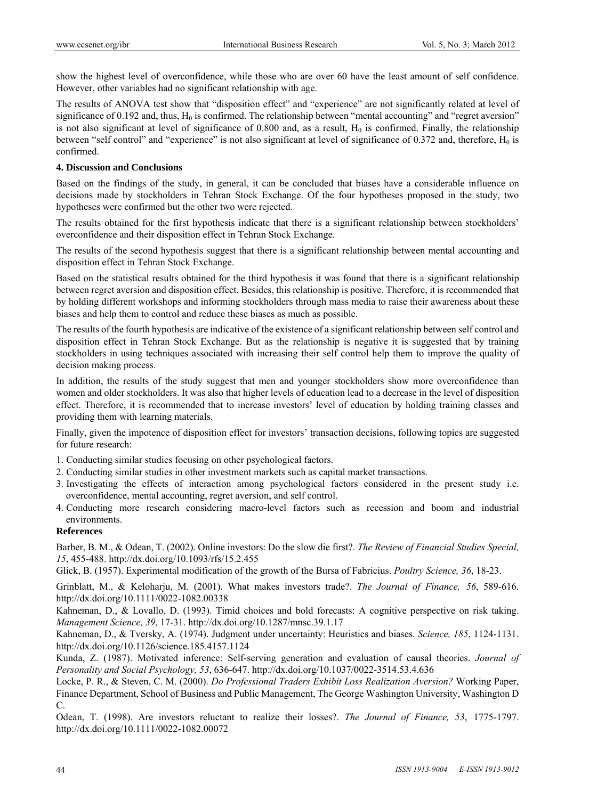show the highest level of overconfidence, while those who are over 60 have the least amount of self confidence. However, other variables had no significant relationship with age.

The results of ANOVA test show that "disposition effect" and "experience" are not significantly related at level of significance of 0.192 and, thus,  $H_0$  is confirmed. The relationship between "mental accounting" and "regret aversion" is not also significant at level of significance of 0.800 and, as a result,  $H_0$  is confirmed. Finally, the relationship between "self control" and "experience" is not also significant at level of significance of  $0.372$  and, therefore,  $H_0$  is confirmed.

## **4. Discussion and Conclusions**

Based on the findings of the study, in general, it can be concluded that biases have a considerable influence on decisions made by stockholders in Tehran Stock Exchange. Of the four hypotheses proposed in the study, two hypotheses were confirmed but the other two were rejected.

The results obtained for the first hypothesis indicate that there is a significant relationship between stockholders' overconfidence and their disposition effect in Tehran Stock Exchange.

The results of the second hypothesis suggest that there is a significant relationship between mental accounting and disposition effect in Tehran Stock Exchange.

Based on the statistical results obtained for the third hypothesis it was found that there is a significant relationship between regret aversion and disposition effect. Besides, this relationship is positive. Therefore, it is recommended that by holding different workshops and informing stockholders through mass media to raise their awareness about these biases and help them to control and reduce these biases as much as possible.

The results of the fourth hypothesis are indicative of the existence of a significant relationship between self control and disposition effect in Tehran Stock Exchange. But as the relationship is negative it is suggested that by training stockholders in using techniques associated with increasing their self control help them to improve the quality of decision making process.

In addition, the results of the study suggest that men and younger stockholders show more overconfidence than women and older stockholders. It was also that higher levels of education lead to a decrease in the level of disposition effect. Therefore, it is recommended that to increase investors' level of education by holding training classes and providing them with learning materials.

Finally, given the impotence of disposition effect for investors' transaction decisions, following topics are suggested for future research:

- 1. Conducting similar studies focusing on other psychological factors.
- 2. Conducting similar studies in other investment markets such as capital market transactions.
- 3. Investigating the effects of interaction among psychological factors considered in the present study i.e. overconfidence, mental accounting, regret aversion, and self control.
- 4. Conducting more research considering macro-level factors such as recession and boom and industrial environments.

# **References**

Barber, B. M., & Odean, T. (2002). Online investors: Do the slow die first?. *The Review of Financial Studies Special, 15*, 455-488. http://dx.doi.org/10.1093/rfs/15.2.455

Glick, B. (1957). Experimental modification of the growth of the Bursa of Fabricius. *Poultry Science, 36*, 18-23.

Grinblatt, M., & Keloharju, M. (2001). What makes investors trade?. *The Journal of Finance, 56*, 589-616. http://dx.doi.org/10.1111/0022-1082.00338

Kahneman, D., & Lovallo, D. (1993). Timid choices and bold forecasts: A cognitive perspective on risk taking. *Management Science, 39*, 17-31. http://dx.doi.org/10.1287/mnsc.39.1.17

Kahneman, D., & Tversky, A. (1974). Judgment under uncertainty: Heuristics and biases. *Science, 185*, 1124-1131. http://dx.doi.org/10.1126/science.185.4157.1124

Kunda, Z. (1987). Motivated inference: Self-serving generation and evaluation of causal theories. *Journal of Personality and Social Psychology, 53*, 636-647. http://dx.doi.org/10.1037/0022-3514.53.4.636

Locke, P. R., & Steven, C. M. (2000). *Do Professional Traders Exhibit Loss Realization Aversion?* Working Paper, Finance Department, School of Business and Public Management, The George Washington University, Washington D C.

Odean, T. (1998). Are investors reluctant to realize their losses?. *The Journal of Finance, 53*, 1775-1797. http://dx.doi.org/10.1111/0022-1082.00072